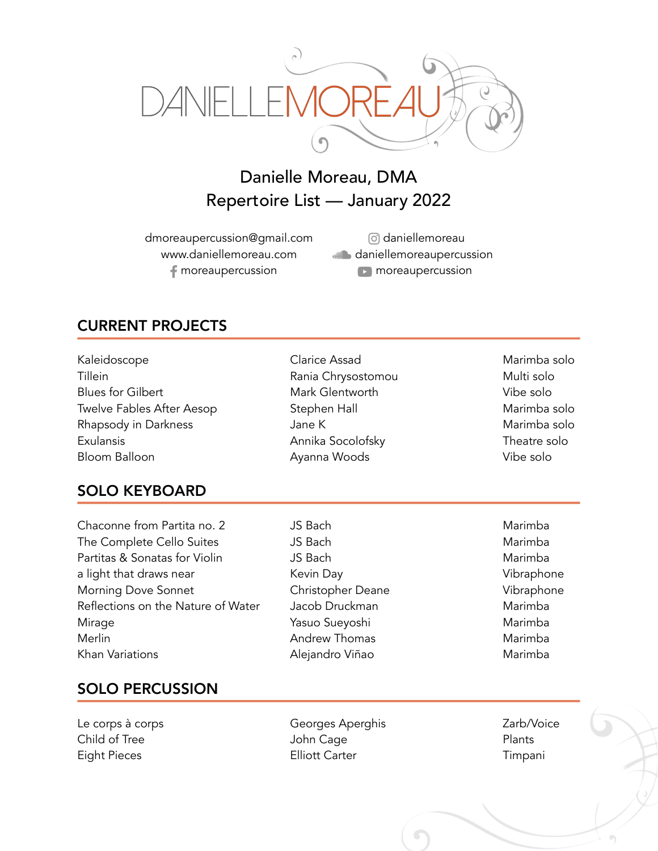

# Danielle Moreau, DMA Repertoire List — January 2022

dmoreaupercussion@gmail.com www.daniellemoreau.com moreaupercussion

daniellemoreau daniellemoreaupercussion **n** moreaupercussion

## CURRENT PROJECTS

| Kaleidoscope                     |
|----------------------------------|
| Tillein                          |
| <b>Blues for Gilbert</b>         |
| <b>Twelve Fables After Aesop</b> |
| Rhapsody in Darkness             |
| Exulansis                        |
| Bloom Balloon                    |

#### SOLO KEYBOARD

Chaconne from Partita no. 2 (*JS Bach* Marimba Marimba The Complete Cello Suites **JS Bach** JS Bach Marimba Partitas & Sonatas for Violin The Maring JS Bach Marimba Marimba a light that draws near **Kevin Day** Kevin Day **Vibraphone** Morning Dove Sonnet **Christopher Deane** Vibraphone Reflections on the Nature of Water Jacob Druckman Marimba Mirage Yasuo Sueyoshi Marimba Merlin Marimba Khan Variations **Alejandro Viñao** Marimba

Clarice Assad Marimba solo Rania Chrysostomou Multi solo Mark Glentworth Vibe solo Stephen Hall Marimba solo Rhapsody in Darkness Jane K Marimba solo Annika Socolofsky Theatre solo Ayanna Woods Vibe solo

### SOLO PERCUSSION

Le corps à corps **Exercise Exercise Corps** Georges Aperghis **Exercise 2** Zarb/Voice

Child of Tree **South Accord Child of Tree** Plants Eight Pieces **Elliott Carter** Carter **Elliott Carter** Timpani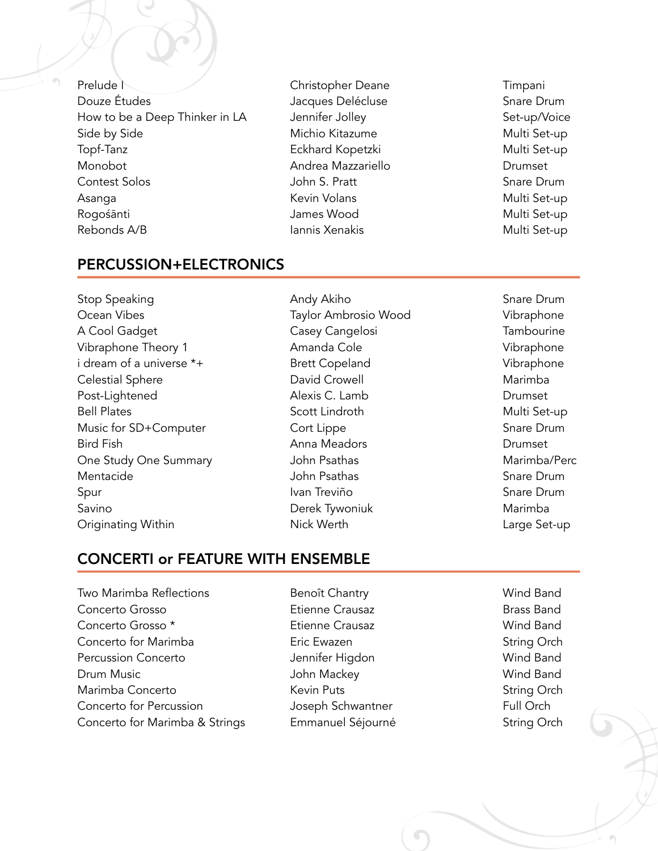Prelude News Christopher Deane Timpani Douze Études **Southern Example 2018** Jacques Delécluse **Southern Schare Drum** How to be a Deep Thinker in LA dennifer Jolley dentally set-up/Voice Side by Side Michio Kitazume Multi Set-up Topf-Tanz Eckhard Kopetzki Multi Set-up Monobot Andrea Mazzariello Drumset Contest Solos John S. Pratt Snare Drum Asanga Kevin Volans Multi Set-up Rogośānti Multi Set-up Rebonds A/B **Iannis Xenakis** Multi Set-up

#### PERCUSSION+ELECTRONICS

Stop Speaking **Stop Speaking Andy Akiho** Stop Snare Drum Ocean Vibes **Taylor Ambrosio Wood** Vibraphone A Cool Gadget **Casey Cangelosi** Casey Cangelosi Casey Cangelosi Casey Cangelosi Casey Cangelosi Casey Cangelosi Casey Cangelosi Casey Cangelosi Casey Cangelosi Casey Cangelosi Casey Cangelosi Casey Cangelosi Casey Cangelos Vibraphone Theory 1 **Amanda Cole Amanda Cole Vibraphone** i dream of a universe \*+ Brett Copeland Vibraphone Celestial Sphere David Crowell Marimba Post-Lightened Alexis C. Lamb Drumset Bell Plates **Scott Lindroth** Set-up Scott Lindroth Multi Set-up Music for SD+Computer Cort Lippe Cort Lippe Snare Drum Bird Fish Anna Meadors Drumset One Study One Summary **Study One Summary** John Psathas Marimba/Perc Mentacide John Psathas Snare Drum Spur Ivan Treviño Ivan Treviño en Snare Drum Savino **Marimba** Derek Tywoniuk Marimba Originating Within **Nick Werth** Nick Werth **Large Set-up** 

#### CONCERTI or FEATURE WITH ENSEMBLE

Two Marimba Reflections Benoît Chantry Wind Band Concerto Grosso Etienne Crausaz Brass Band Concerto Grosso \* Etienne Crausaz Wind Band Concerto for Marimba<br>
Eric Ewazen String Orch Percussion Concerto **Matter Strutter Jennifer Higdon** Mind Band Wind Band Drum Music John Mackey Wind Band Marimba Concerto Kevin Puts String Orch Concerto for Percussion **Schwantner** Joseph Schwantner Full Orch Concerto for Marimba & Strings Figuranuel Séjourné Theoreto is String Orch